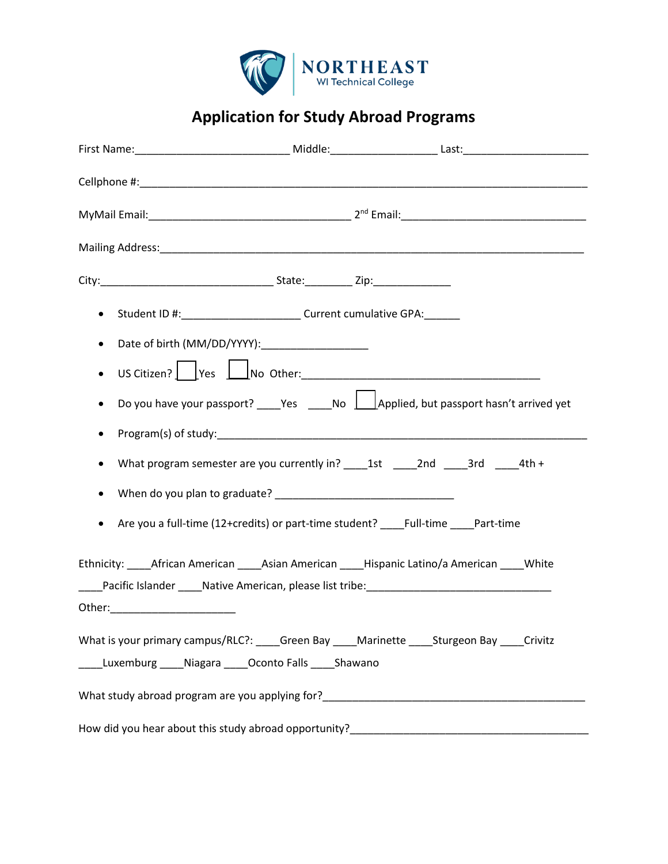

**Application for Study Abroad Programs**

| Student ID #:____________________________Current cumulative GPA:________<br>$\bullet$                                                                   |  |
|---------------------------------------------------------------------------------------------------------------------------------------------------------|--|
| $\bullet$                                                                                                                                               |  |
| US Citizen? Pes No Other: No Other:<br>$\bullet$                                                                                                        |  |
| Do you have your passport? _____Yes ______No  __________Applied, but passport hasn't arrived yet<br>٠                                                   |  |
| ٠                                                                                                                                                       |  |
| $\bullet$                                                                                                                                               |  |
|                                                                                                                                                         |  |
| Are you a full-time (12+credits) or part-time student? Full-time Part-time<br>$\bullet$                                                                 |  |
| Ethnicity: African American Asian American Hispanic Latino/a American White                                                                             |  |
|                                                                                                                                                         |  |
|                                                                                                                                                         |  |
| What is your primary campus/RLC?: ____Green Bay ____Marinette _____Sturgeon Bay ____Crivitz<br>Luxemburg _____ Niagara _____ Oconto Falls _____ Shawano |  |
|                                                                                                                                                         |  |
|                                                                                                                                                         |  |
|                                                                                                                                                         |  |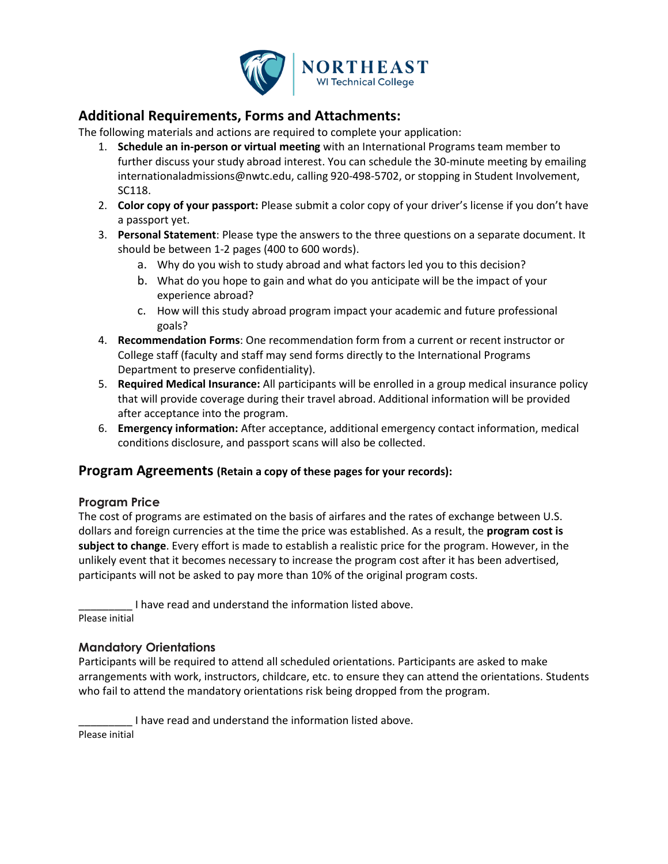

### **Additional Requirements, Forms and Attachments:**

The following materials and actions are required to complete your application:

- 1. **Schedule an in-person or virtual meeting** with an International Programs team member to further discuss your study abroad interest. You can schedule the 30-minute meeting by emailing internationaladmissions@nwtc.edu, calling 920-498-5702, or stopping in Student Involvement, SC118.
- 2. **Color copy of your passport:** Please submit a color copy of your driver's license if you don't have a passport yet.
- 3. **Personal Statement**: Please type the answers to the three questions on a separate document. It should be between 1-2 pages (400 to 600 words).
	- a. Why do you wish to study abroad and what factors led you to this decision?
	- b. What do you hope to gain and what do you anticipate will be the impact of your experience abroad?
	- c. How will this study abroad program impact your academic and future professional goals?
- 4. **Recommendation Forms**: One recommendation form from a current or recent instructor or College staff (faculty and staff may send forms directly to the International Programs Department to preserve confidentiality).
- 5. **Required Medical Insurance:** All participants will be enrolled in a group medical insurance policy that will provide coverage during their travel abroad. Additional information will be provided after acceptance into the program.
- 6. **Emergency information:** After acceptance, additional emergency contact information, medical conditions disclosure, and passport scans will also be collected.

### **Program Agreements (Retain a copy of these pages for your records):**

### **Program Price**

The cost of programs are estimated on the basis of airfares and the rates of exchange between U.S. dollars and foreign currencies at the time the price was established. As a result, the **program cost is subject to change**. Every effort is made to establish a realistic price for the program. However, in the unlikely event that it becomes necessary to increase the program cost after it has been advertised, participants will not be asked to pay more than 10% of the original program costs.

I have read and understand the information listed above. Please initial

### **Mandatory Orientations**

Participants will be required to attend all scheduled orientations. Participants are asked to make arrangements with work, instructors, childcare, etc. to ensure they can attend the orientations. Students who fail to attend the mandatory orientations risk being dropped from the program.

I have read and understand the information listed above.

Please initial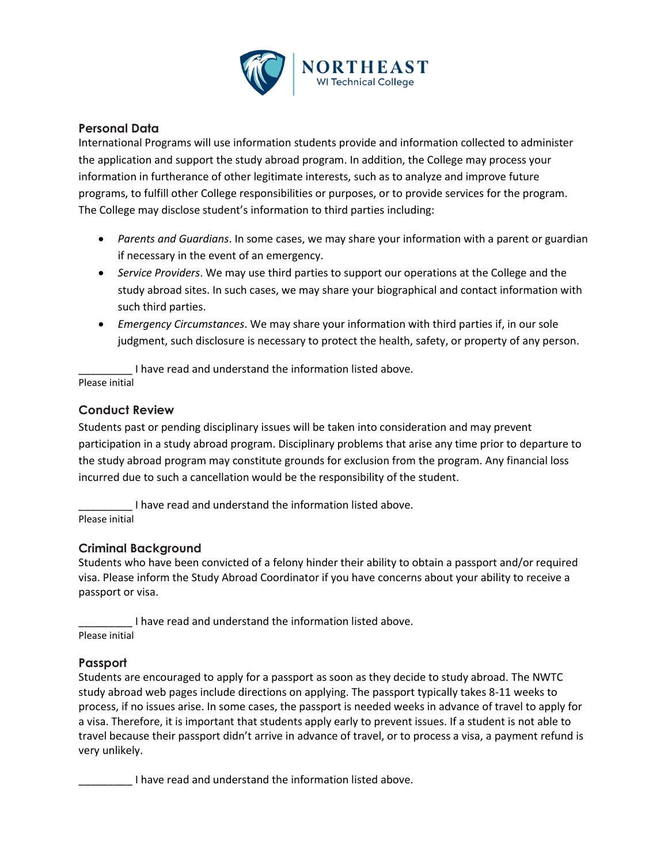

### **Personal Data**

International Programs will use information students provide and information collected to administer the application and support the study abroad program. In addition, the College may process your information in furtherance of other legitimate interests, such as to analyze and improve future programs, to fulfill other College responsibilities or purposes, or to provide services for the program. The College may disclose student's information to third parties including:

- *Parents and Guardians*. In some cases, we may share your information with a parent or guardian if necessary in the event of an emergency.
- *Service Providers*. We may use third parties to support our operations at the College and the study abroad sites. In such cases, we may share your biographical and contact information with such third parties.
- *Emergency Circumstances*. We may share your information with third parties if, in our sole judgment, such disclosure is necessary to protect the health, safety, or property of any person.

I have read and understand the information listed above. Please initial

### **Conduct Review**

Students past or pending disciplinary issues will be taken into consideration and may prevent participation in a study abroad program. Disciplinary problems that arise any time prior to departure to the study abroad program may constitute grounds for exclusion from the program. Any financial loss incurred due to such a cancellation would be the responsibility of the student.

I have read and understand the information listed above. Please initial

### **Criminal Background**

Students who have been convicted of a felony hinder their ability to obtain a passport and/or required visa. Please inform the Study Abroad Coordinator if you have concerns about your ability to receive a passport or visa.

I have read and understand the information listed above. Please initial

### **Passport**

Students are encouraged to apply for a passport as soon as they decide to study abroad. The NWTC study abroad web pages include directions on applying. The passport typically takes 8-11 weeks to process, if no issues arise. In some cases, the passport is needed weeks in advance of travel to apply for a visa. Therefore, it is important that students apply early to prevent issues. If a student is not able to travel because their passport didn't arrive in advance of travel, or to process a visa, a payment refund is very unlikely.

\_\_\_\_\_\_\_\_\_ I have read and understand the information listed above.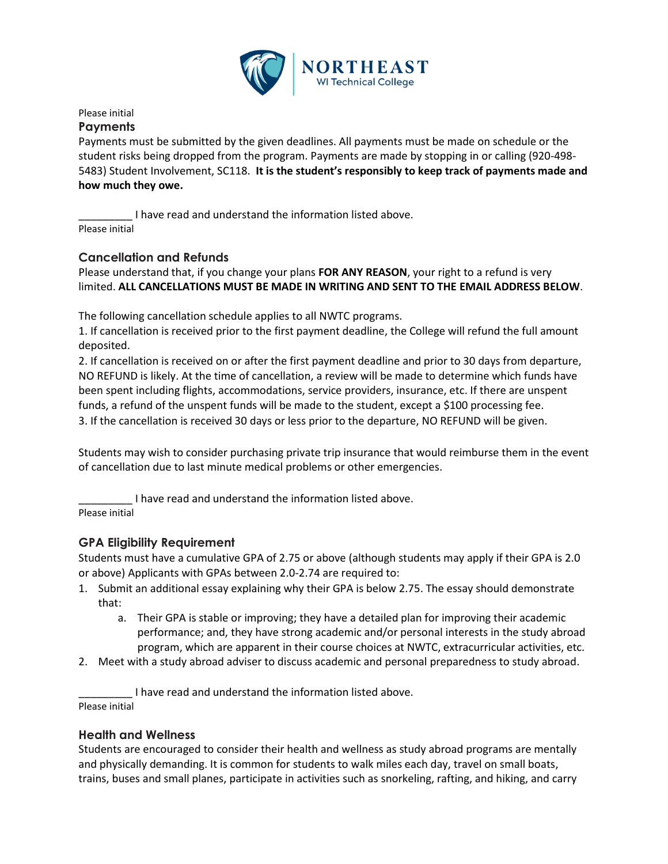

### Please initial

#### **Payments**

Payments must be submitted by the given deadlines. All payments must be made on schedule or the student risks being dropped from the program. Payments are made by stopping in or callin[g \(920-498-](tel:%28920-498-5483) [5483\)](tel:%28920-498-5483) Student Involvement, SC118. **It is the student's responsibly to keep track of payments made and how much they owe.**

\_\_\_\_\_\_\_\_\_ I have read and understand the information listed above. Please initial

### **Cancellation and Refunds**

Please understand that, if you change your plans **FOR ANY REASON**, your right to a refund is very limited. **ALL CANCELLATIONS MUST BE MADE IN WRITING AND SENT TO THE EMAIL ADDRESS BELOW**.

The following cancellation schedule applies to all NWTC programs.

1. If cancellation is received prior to the first payment deadline, the College will refund the full amount deposited.

2. If cancellation is received on or after the first payment deadline and prior to 30 days from departure, NO REFUND is likely. At the time of cancellation, a review will be made to determine which funds have been spent including flights, accommodations, service providers, insurance, etc. If there are unspent funds, a refund of the unspent funds will be made to the student, except a \$100 processing fee. 3. If the cancellation is received 30 days or less prior to the departure, NO REFUND will be given.

Students may wish to consider purchasing private trip insurance that would reimburse them in the event of cancellation due to last minute medical problems or other emergencies.

I have read and understand the information listed above.

Please initial

### **GPA Eligibility Requirement**

Students must have a cumulative GPA of 2.75 or above (although students may apply if their GPA is 2.0 or above) Applicants with GPAs between 2.0-2.74 are required to:

- 1. Submit an additional essay explaining why their GPA is below 2.75. The essay should demonstrate that:
	- a. Their GPA is stable or improving; they have a detailed plan for improving their academic performance; and, they have strong academic and/or personal interests in the study abroad program, which are apparent in their course choices at NWTC, extracurricular activities, etc.
- 2. Meet with a study abroad adviser to discuss academic and personal preparedness to study abroad.

I have read and understand the information listed above. Please initial

### **Health and Wellness**

Students are encouraged to consider their health and wellness as study abroad programs are mentally and physically demanding. It is common for students to walk miles each day, travel on small boats, trains, buses and small planes, participate in activities such as snorkeling, rafting, and hiking, and carry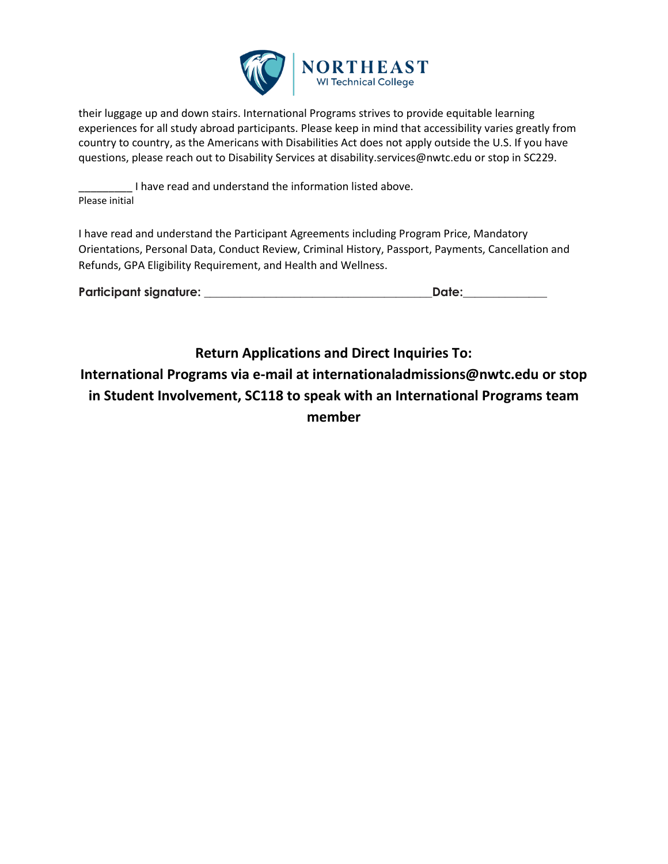

their luggage up and down stairs. International Programs strives to provide equitable learning experiences for all study abroad participants. Please keep in mind that accessibility varies greatly from country to country, as the Americans with Disabilities Act does not apply outside the U.S. If you have questions, please reach out to Disability Services at disability.services@nwtc.edu or stop in SC229.

I have read and understand the information listed above. Please initial

I have read and understand the Participant Agreements including Program Price, Mandatory Orientations, Personal Data, Conduct Review, Criminal History, Passport, Payments, Cancellation and Refunds, GPA Eligibility Requirement, and Health and Wellness.

| Participant signature: | Date: |
|------------------------|-------|
|                        |       |

**Return Applications and Direct Inquiries To: International Programs via e-mail at internationaladmissions@nwtc.edu or stop in Student Involvement, SC118 to speak with an International Programs team member**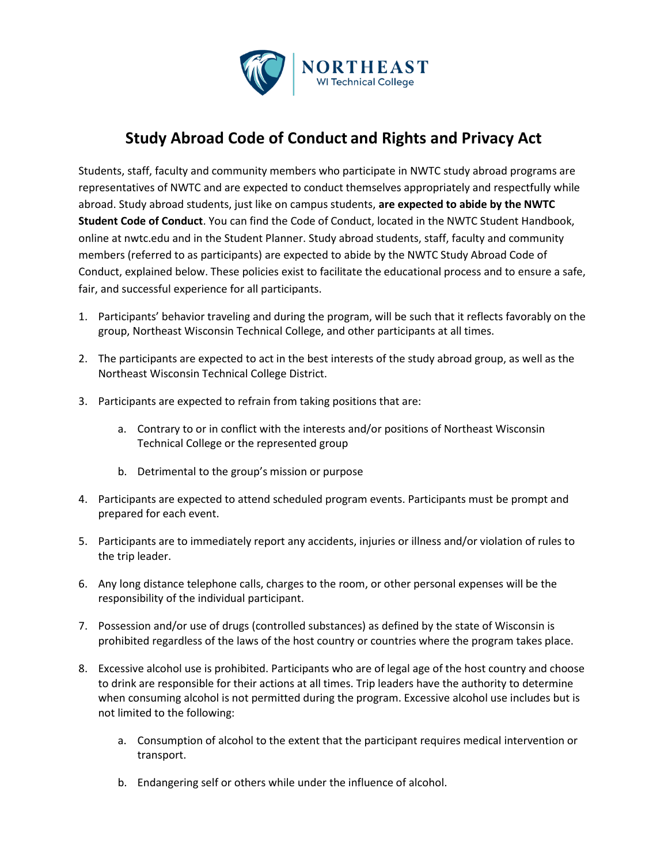

## **Study Abroad Code of Conduct and Rights and Privacy Act**

Students, staff, faculty and community members who participate in NWTC study abroad programs are representatives of NWTC and are expected to conduct themselves appropriately and respectfully while abroad. Study abroad students, just like on campus students, **are expected to abide by the NWTC Student Code of Conduct**. You can find the Code of Conduct, located in the NWTC Student Handbook, online at nwtc.edu and in the Student Planner. Study abroad students, staff, faculty and community members (referred to as participants) are expected to abide by the NWTC Study Abroad Code of Conduct, explained below. These policies exist to facilitate the educational process and to ensure a safe, fair, and successful experience for all participants.

- 1. Participants' behavior traveling and during the program, will be such that it reflects favorably on the group, Northeast Wisconsin Technical College, and other participants at all times.
- 2. The participants are expected to act in the best interests of the study abroad group, as well as the Northeast Wisconsin Technical College District.
- 3. Participants are expected to refrain from taking positions that are:
	- a. Contrary to or in conflict with the interests and/or positions of Northeast Wisconsin Technical College or the represented group
	- b. Detrimental to the group's mission or purpose
- 4. Participants are expected to attend scheduled program events. Participants must be prompt and prepared for each event.
- 5. Participants are to immediately report any accidents, injuries or illness and/or violation of rules to the trip leader.
- 6. Any long distance telephone calls, charges to the room, or other personal expenses will be the responsibility of the individual participant.
- 7. Possession and/or use of drugs (controlled substances) as defined by the state of Wisconsin is prohibited regardless of the laws of the host country or countries where the program takes place.
- 8. Excessive alcohol use is prohibited. Participants who are of legal age of the host country and choose to drink are responsible for their actions at all times. Trip leaders have the authority to determine when consuming alcohol is not permitted during the program. Excessive alcohol use includes but is not limited to the following:
	- a. Consumption of alcohol to the extent that the participant requires medical intervention or transport.
	- b. Endangering self or others while under the influence of alcohol.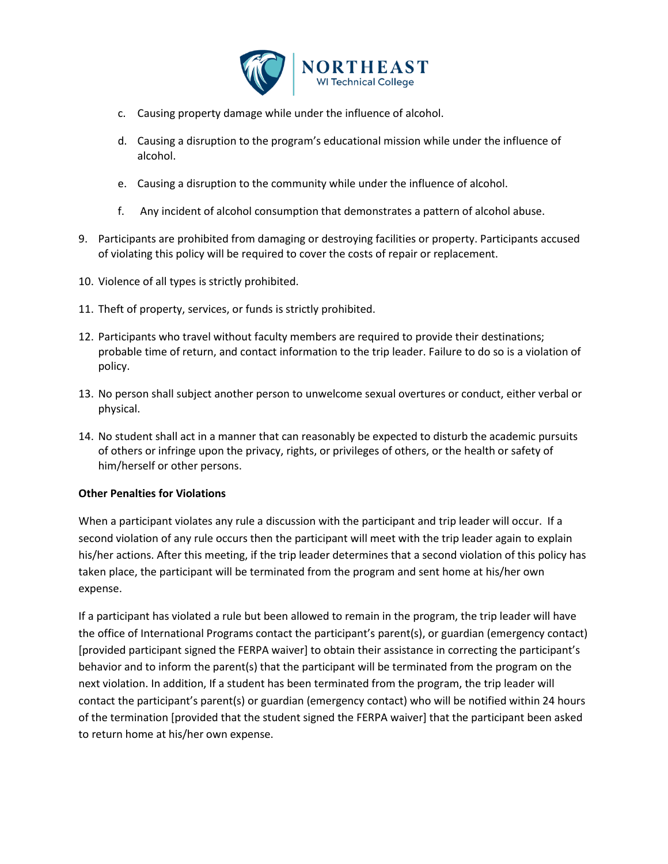

- c. Causing property damage while under the influence of alcohol.
- d. Causing a disruption to the program's educational mission while under the influence of alcohol.
- e. Causing a disruption to the community while under the influence of alcohol.
- f. Any incident of alcohol consumption that demonstrates a pattern of alcohol abuse.
- 9. Participants are prohibited from damaging or destroying facilities or property. Participants accused of violating this policy will be required to cover the costs of repair or replacement.
- 10. Violence of all types is strictly prohibited.
- 11. Theft of property, services, or funds is strictly prohibited.
- 12. Participants who travel without faculty members are required to provide their destinations; probable time of return, and contact information to the trip leader. Failure to do so is a violation of policy.
- 13. No person shall subject another person to unwelcome sexual overtures or conduct, either verbal or physical.
- 14. No student shall act in a manner that can reasonably be expected to disturb the academic pursuits of others or infringe upon the privacy, rights, or privileges of others, or the health or safety of him/herself or other persons.

### **Other Penalties for Violations**

When a participant violates any rule a discussion with the participant and trip leader will occur. If a second violation of any rule occurs then the participant will meet with the trip leader again to explain his/her actions. After this meeting, if the trip leader determines that a second violation of this policy has taken place, the participant will be terminated from the program and sent home at his/her own expense.

If a participant has violated a rule but been allowed to remain in the program, the trip leader will have the office of International Programs contact the participant's parent(s), or guardian (emergency contact) [provided participant signed the FERPA waiver] to obtain their assistance in correcting the participant's behavior and to inform the parent(s) that the participant will be terminated from the program on the next violation. In addition, If a student has been terminated from the program, the trip leader will contact the participant's parent(s) or guardian (emergency contact) who will be notified within 24 hours of the termination [provided that the student signed the FERPA waiver] that the participant been asked to return home at his/her own expense.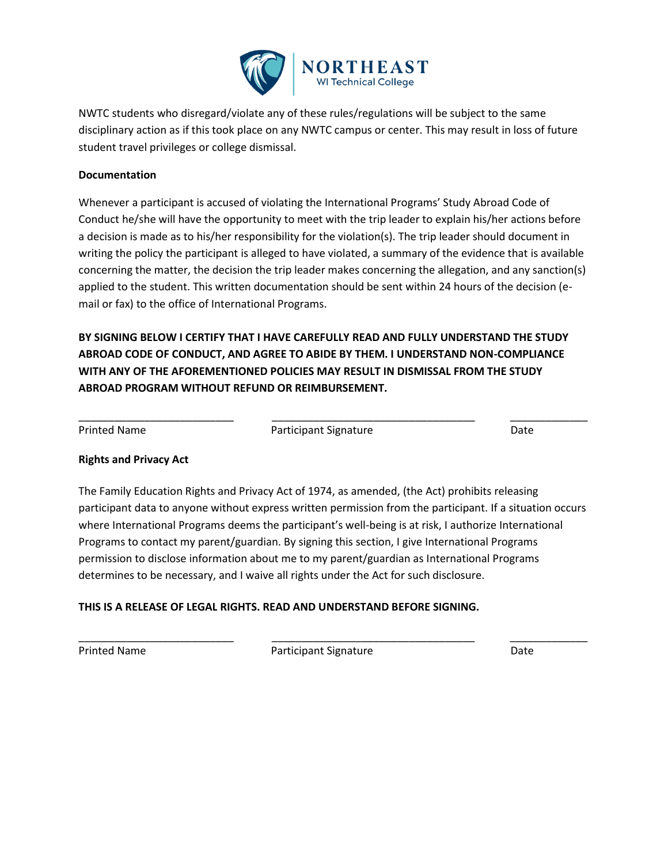

NWTC students who disregard/violate any of these rules/regulations will be subject to the same disciplinary action as if this took place on any NWTC campus or center. This may result in loss of future student travel privileges or college dismissal.

### **Documentation**

Whenever a participant is accused of violating the International Programs' Study Abroad Code of Conduct he/she will have the opportunity to meet with the trip leader to explain his/her actions before a decision is made as to his/her responsibility for the violation(s). The trip leader should document in writing the policy the participant is alleged to have violated, a summary of the evidence that is available concerning the matter, the decision the trip leader makes concerning the allegation, and any sanction(s) applied to the student. This written documentation should be sent within 24 hours of the decision (email or fax) to the office of International Programs.

**BY SIGNING BELOW I CERTIFY THAT I HAVE CAREFULLY READ AND FULLY UNDERSTAND THE STUDY ABROAD CODE OF CONDUCT, AND AGREE TO ABIDE BY THEM. I UNDERSTAND NON-COMPLIANCE WITH ANY OF THE AFOREMENTIONED POLICIES MAY RESULT IN DISMISSAL FROM THE STUDY ABROAD PROGRAM WITHOUT REFUND OR REIMBURSEMENT.** 

Printed Name **Participant Signature Participant Signature Participant Signature Participant Signature** 

\_\_\_\_\_\_\_\_\_\_\_\_\_\_\_\_\_\_\_\_\_\_\_\_\_\_ \_\_\_\_\_\_\_\_\_\_\_\_\_\_\_\_\_\_\_\_\_\_\_\_\_\_\_\_\_\_\_\_\_\_ \_\_\_\_\_\_\_\_\_\_\_\_\_

### **Rights and Privacy Act**

The Family Education Rights and Privacy Act of 1974, as amended, (the Act) prohibits releasing participant data to anyone without express written permission from the participant. If a situation occurs where International Programs deems the participant's well-being is at risk, I authorize International Programs to contact my parent/guardian. By signing this section, I give International Programs permission to disclose information about me to my parent/guardian as International Programs determines to be necessary, and I waive all rights under the Act for such disclosure.

### **THIS IS A RELEASE OF LEGAL RIGHTS. READ AND UNDERSTAND BEFORE SIGNING.**

Printed Name **Participant Signature** Participant Signature **Prince Accomplished Accomplished Accomplished Accomplished Accomplished Accomplished Accomplished Accomplished Accomplished Accomplished Accomplished Accomplished** 

\_\_\_\_\_\_\_\_\_\_\_\_\_\_\_\_\_\_\_\_\_\_\_\_\_\_ \_\_\_\_\_\_\_\_\_\_\_\_\_\_\_\_\_\_\_\_\_\_\_\_\_\_\_\_\_\_\_\_\_\_ \_\_\_\_\_\_\_\_\_\_\_\_\_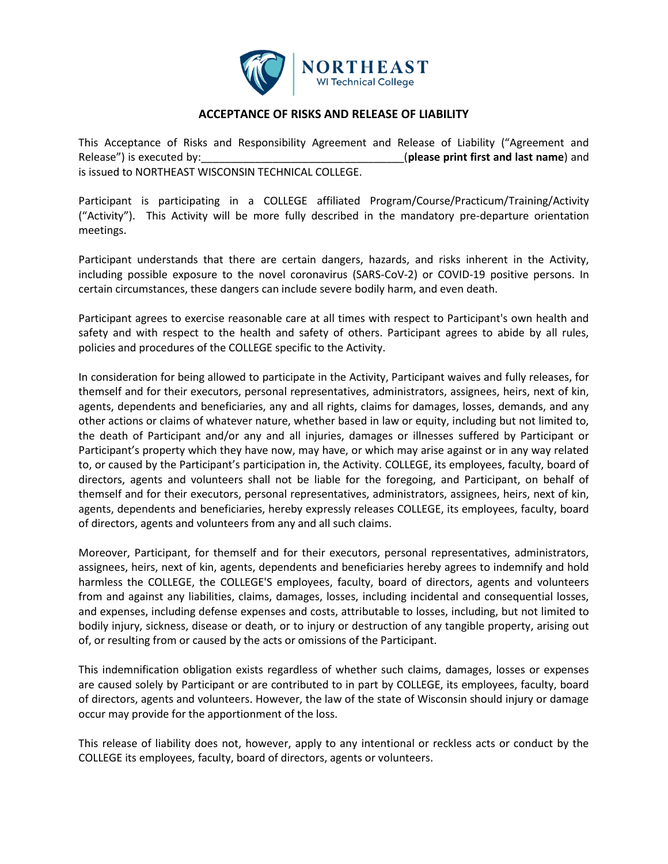

### **ACCEPTANCE OF RISKS AND RELEASE OF LIABILITY**

This Acceptance of Risks and Responsibility Agreement and Release of Liability ("Agreement and Release") is executed by: The same of the second of the second of the second of the second of the second of the second of the second of the second of the second of the second of the second of the second of the second of th is issued to NORTHEAST WISCONSIN TECHNICAL COLLEGE.

Participant is participating in a COLLEGE affiliated Program/Course/Practicum/Training/Activity ("Activity"). This Activity will be more fully described in the mandatory pre-departure orientation meetings.

Participant understands that there are certain dangers, hazards, and risks inherent in the Activity, including possible exposure to the novel coronavirus (SARS-CoV-2) or COVID-19 positive persons. In certain circumstances, these dangers can include severe bodily harm, and even death.

Participant agrees to exercise reasonable care at all times with respect to Participant's own health and safety and with respect to the health and safety of others. Participant agrees to abide by all rules, policies and procedures of the COLLEGE specific to the Activity.

In consideration for being allowed to participate in the Activity, Participant waives and fully releases, for themself and for their executors, personal representatives, administrators, assignees, heirs, next of kin, agents, dependents and beneficiaries, any and all rights, claims for damages, losses, demands, and any other actions or claims of whatever nature, whether based in law or equity, including but not limited to, the death of Participant and/or any and all injuries, damages or illnesses suffered by Participant or Participant's property which they have now, may have, or which may arise against or in any way related to, or caused by the Participant's participation in, the Activity. COLLEGE, its employees, faculty, board of directors, agents and volunteers shall not be liable for the foregoing, and Participant, on behalf of themself and for their executors, personal representatives, administrators, assignees, heirs, next of kin, agents, dependents and beneficiaries, hereby expressly releases COLLEGE, its employees, faculty, board of directors, agents and volunteers from any and all such claims.

Moreover, Participant, for themself and for their executors, personal representatives, administrators, assignees, heirs, next of kin, agents, dependents and beneficiaries hereby agrees to indemnify and hold harmless the COLLEGE, the COLLEGE'S employees, faculty, board of directors, agents and volunteers from and against any liabilities, claims, damages, losses, including incidental and consequential losses, and expenses, including defense expenses and costs, attributable to losses, including, but not limited to bodily injury, sickness, disease or death, or to injury or destruction of any tangible property, arising out of, or resulting from or caused by the acts or omissions of the Participant.

This indemnification obligation exists regardless of whether such claims, damages, losses or expenses are caused solely by Participant or are contributed to in part by COLLEGE, its employees, faculty, board of directors, agents and volunteers. However, the law of the state of Wisconsin should injury or damage occur may provide for the apportionment of the loss.

This release of liability does not, however, apply to any intentional or reckless acts or conduct by the COLLEGE its employees, faculty, board of directors, agents or volunteers.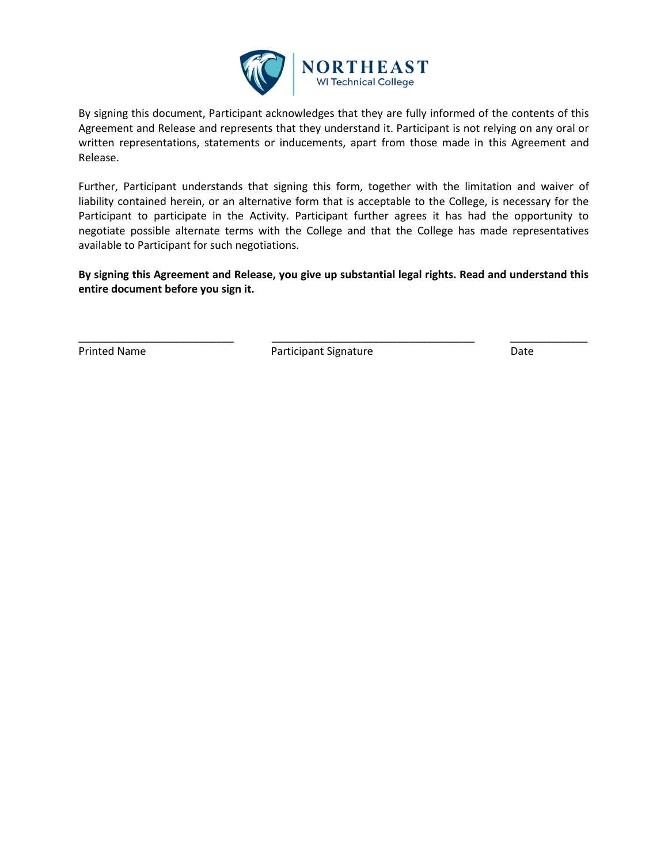

By signing this document, Participant acknowledges that they are fully informed of the contents of this Agreement and Release and represents that they understand it. Participant is not relying on any oral or written representations, statements or inducements, apart from those made in this Agreement and Release.

Further, Participant understands that signing this form, together with the limitation and waiver of liability contained herein, or an alternative form that is acceptable to the College, is necessary for the Participant to participate in the Activity. Participant further agrees it has had the opportunity to negotiate possible alternate terms with the College and that the College has made representatives available to Participant for such negotiations.

**By signing this Agreement and Release, you give up substantial legal rights. Read and understand this entire document before you sign it.**

Printed Name **Participant Signature Participant Signature Participant Signature Participant** 

\_\_\_\_\_\_\_\_\_\_\_\_\_\_\_\_\_\_\_\_\_\_\_\_\_\_ \_\_\_\_\_\_\_\_\_\_\_\_\_\_\_\_\_\_\_\_\_\_\_\_\_\_\_\_\_\_\_\_\_\_ \_\_\_\_\_\_\_\_\_\_\_\_\_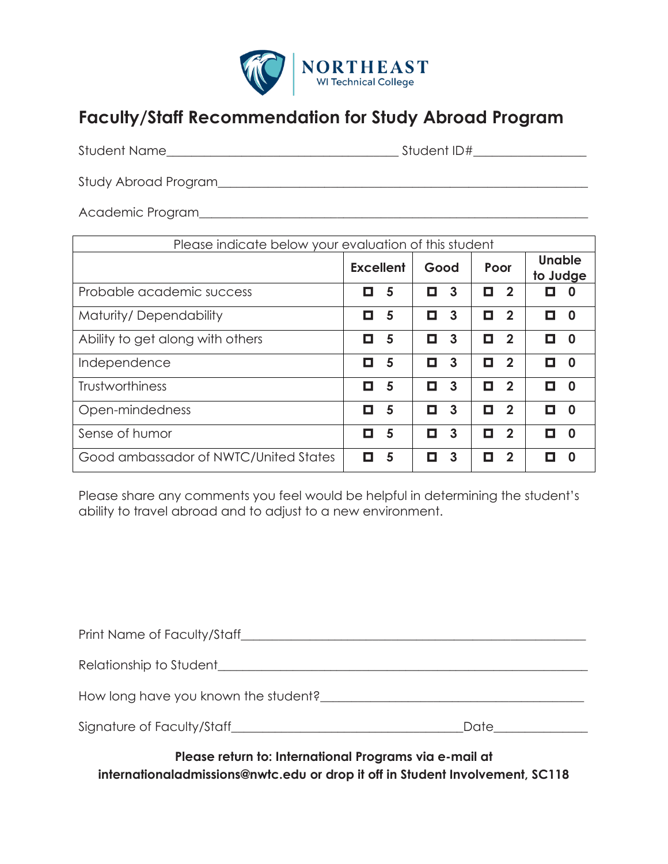

# **Faculty/Staff Recommendation for Study Abroad Program**

| <b>Student Name</b><br>Student ID# |  |
|------------------------------------|--|
|------------------------------------|--|

Study Abroad Program\_\_\_\_\_\_\_\_\_\_\_\_\_\_\_\_\_\_\_\_\_\_\_\_\_\_\_\_\_\_\_\_\_\_\_\_\_\_\_\_\_\_\_\_\_\_\_\_\_\_\_\_\_\_\_\_\_\_\_

Academic Program\_\_\_\_\_\_\_\_\_\_\_\_\_\_\_\_\_\_\_\_\_\_\_\_\_\_\_\_\_\_\_\_\_\_\_\_\_\_\_\_\_\_\_\_\_\_\_\_\_\_\_\_\_\_\_\_\_\_\_\_\_\_

| Please indicate below your evaluation of this student |                  |   |      |                |      |                         |                           |   |
|-------------------------------------------------------|------------------|---|------|----------------|------|-------------------------|---------------------------|---|
|                                                       | <b>Excellent</b> |   | Good |                | Poor |                         | <b>Unable</b><br>to Judge |   |
| Probable academic success                             | О                | 5 | О    | 3              | О    | $\overline{\mathbf{2}}$ | П                         | O |
| Maturity/Dependability                                | О                | 5 | О    | $\mathbf{3}$   | О    | $\overline{\mathbf{2}}$ | О                         | O |
| Ability to get along with others                      | О                | 5 | О    | $\overline{3}$ | П    | $\boldsymbol{2}$        | п                         | n |
| Independence                                          | О                | 5 | О    | 3              | П    | $\mathbf{c}$            | О                         | n |
| <b>Trustworthiness</b>                                | О                | 5 | О    | $\mathbf{3}$   | О    | $\overline{\mathbf{2}}$ | П                         | n |
| Open-mindedness                                       | о                | 5 | О    | $\mathbf{3}$   | О    | $\overline{2}$          | О                         | n |
| Sense of humor                                        | П                | 5 | П    | 3              | П    | 2                       | п                         | n |
| Good ambassador of NWTC/United States                 | О                | 5 | О    | 3              | П    | 2                       | П                         | n |

Please share any comments you feel would be helpful in determining the student's ability to travel abroad and to adjust to a new environment.

| Print Name of Faculty/Staff          |      |
|--------------------------------------|------|
| Relationship to Student              |      |
| How long have you known the student? |      |
| Signature of Faculty/Staff           | Date |

**Please return to: International Programs via e-mail at internationaladmissions@nwtc.edu or drop it off in Student Involvement, SC118**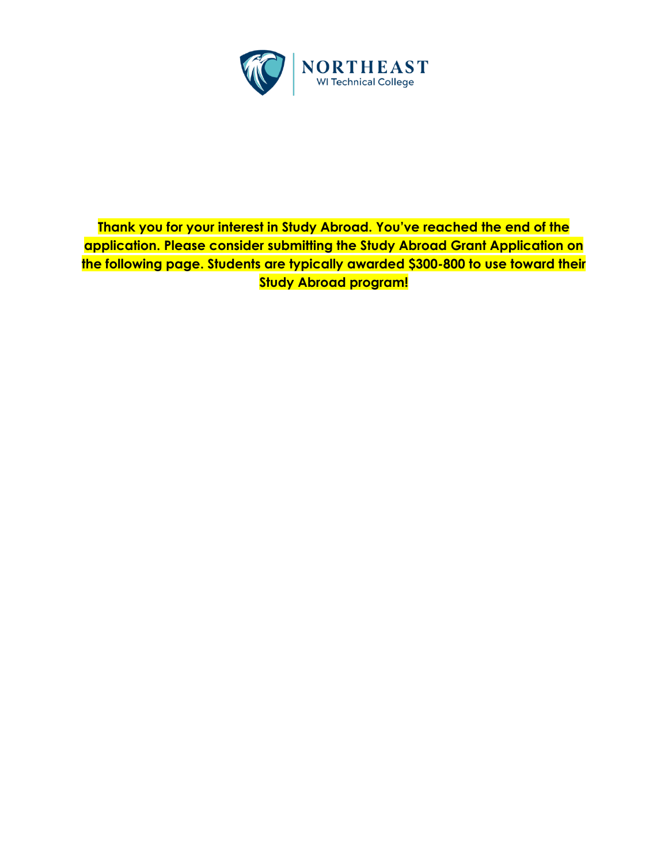

## **Thank you for your interest in Study Abroad. You've reached the end of the application. Please consider submitting the Study Abroad Grant Application on the following page. Students are typically awarded \$300-800 to use toward their Study Abroad program!**